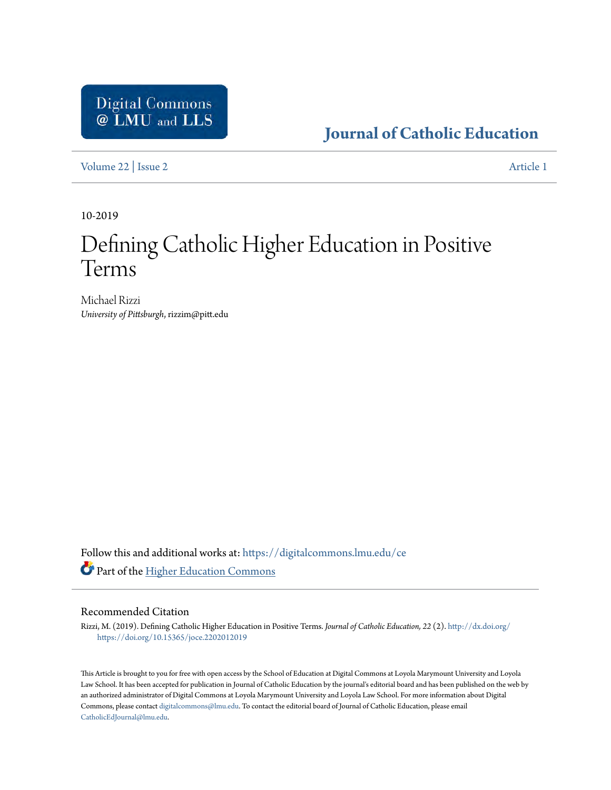**[Journal of Catholic Education](https://digitalcommons.lmu.edu/ce?utm_source=digitalcommons.lmu.edu%2Fce%2Fvol22%2Fiss2%2F1&utm_medium=PDF&utm_campaign=PDFCoverPages)**

[Volume 22](https://digitalcommons.lmu.edu/ce/vol22?utm_source=digitalcommons.lmu.edu%2Fce%2Fvol22%2Fiss2%2F1&utm_medium=PDF&utm_campaign=PDFCoverPages) | [Issue 2](https://digitalcommons.lmu.edu/ce/vol22/iss2?utm_source=digitalcommons.lmu.edu%2Fce%2Fvol22%2Fiss2%2F1&utm_medium=PDF&utm_campaign=PDFCoverPages) [Article 1](https://digitalcommons.lmu.edu/ce/vol22/iss2/1?utm_source=digitalcommons.lmu.edu%2Fce%2Fvol22%2Fiss2%2F1&utm_medium=PDF&utm_campaign=PDFCoverPages)

10-2019

# Defining Catholic Higher Education in Positive Terms

Michael Rizzi *University of Pittsburgh*, rizzim@pitt.edu

Follow this and additional works at: [https://digitalcommons.lmu.edu/ce](https://digitalcommons.lmu.edu/ce?utm_source=digitalcommons.lmu.edu%2Fce%2Fvol22%2Fiss2%2F1&utm_medium=PDF&utm_campaign=PDFCoverPages) Part of the [Higher Education Commons](http://network.bepress.com/hgg/discipline/1245?utm_source=digitalcommons.lmu.edu%2Fce%2Fvol22%2Fiss2%2F1&utm_medium=PDF&utm_campaign=PDFCoverPages)

# Recommended Citation

Rizzi, M. (2019). Defining Catholic Higher Education in Positive Terms. *Journal of Catholic Education, 22* (2). [http://dx.doi.org/](http://dx.doi.org/https://doi.org/10.15365/joce.2202012019) [https://doi.org/10.15365/joce.2202012019](http://dx.doi.org/https://doi.org/10.15365/joce.2202012019)

This Article is brought to you for free with open access by the School of Education at Digital Commons at Loyola Marymount University and Loyola Law School. It has been accepted for publication in Journal of Catholic Education by the journal's editorial board and has been published on the web by an authorized administrator of Digital Commons at Loyola Marymount University and Loyola Law School. For more information about Digital Commons, please contact [digitalcommons@lmu.edu](mailto:digitalcommons@lmu.edu). To contact the editorial board of Journal of Catholic Education, please email [CatholicEdJournal@lmu.edu.](mailto:CatholicEdJournal@lmu.edu)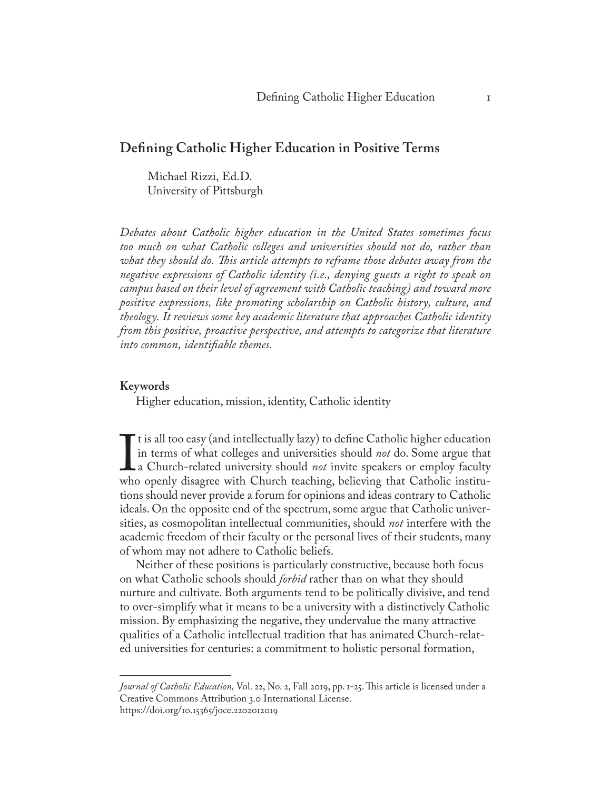# **Defining Catholic Higher Education in Positive Terms**

Michael Rizzi, Ed.D. University of Pittsburgh

*Debates about Catholic higher education in the United States sometimes focus too much on what Catholic colleges and universities should not do, rather than what they should do. This article attempts to reframe those debates away from the negative expressions of Catholic identity (i.e., denying guests a right to speak on campus based on their level of agreement with Catholic teaching) and toward more positive expressions, like promoting scholarship on Catholic history, culture, and theology. It reviews some key academic literature that approaches Catholic identity from this positive, proactive perspective, and attempts to categorize that literature into common, identifiable themes.*

# **Keywords**

Higher education, mission, identity, Catholic identity

It is an too easy (and interactually hazy) to define eatholic inglier education<br>in terms of what colleges and universities should *not* do. Some argue that<br>a Church-related university should *not* invite speakers or employ  $\Gamma$  t is all too easy (and intellectually lazy) to define Catholic higher education in terms of what colleges and universities should *not* do. Some argue that a Church-related university should *not* invite speakers or employ faculty tions should never provide a forum for opinions and ideas contrary to Catholic ideals. On the opposite end of the spectrum, some argue that Catholic universities, as cosmopolitan intellectual communities, should *not* interfere with the academic freedom of their faculty or the personal lives of their students, many of whom may not adhere to Catholic beliefs.

Neither of these positions is particularly constructive, because both focus on what Catholic schools should *forbid* rather than on what they should nurture and cultivate. Both arguments tend to be politically divisive, and tend to over-simplify what it means to be a university with a distinctively Catholic mission. By emphasizing the negative, they undervalue the many attractive qualities of a Catholic intellectual tradition that has animated Church-related universities for centuries: a commitment to holistic personal formation,

*Journal of Catholic Education,* Vol. 22, No. 2, Fall 2019, pp. 1-25. This article is licensed under a Creative Commons Attribution 3.0 International License. https://doi.org/10.15365/joce.2202012019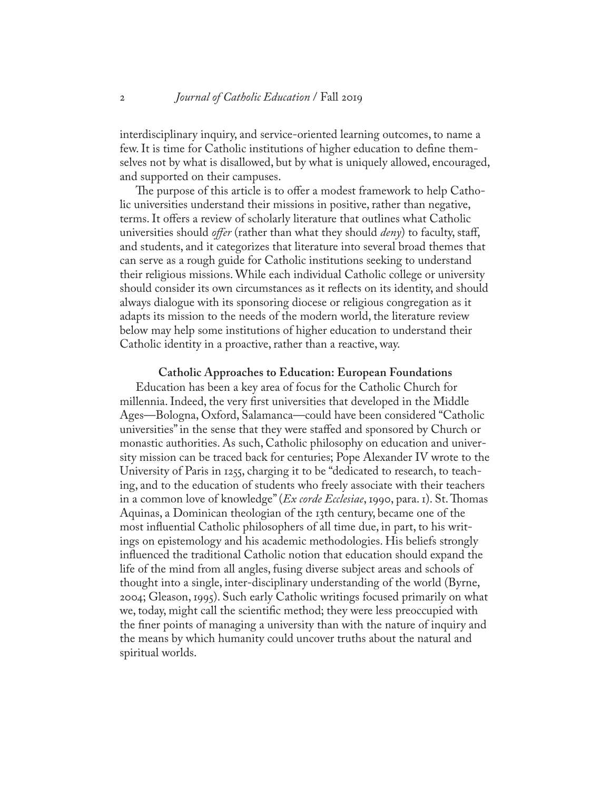interdisciplinary inquiry, and service-oriented learning outcomes, to name a few. It is time for Catholic institutions of higher education to define themselves not by what is disallowed, but by what is uniquely allowed, encouraged, and supported on their campuses.

The purpose of this article is to offer a modest framework to help Catholic universities understand their missions in positive, rather than negative, terms. It offers a review of scholarly literature that outlines what Catholic universities should *offer* (rather than what they should *deny*) to faculty, staff, and students, and it categorizes that literature into several broad themes that can serve as a rough guide for Catholic institutions seeking to understand their religious missions. While each individual Catholic college or university should consider its own circumstances as it reflects on its identity, and should always dialogue with its sponsoring diocese or religious congregation as it adapts its mission to the needs of the modern world, the literature review below may help some institutions of higher education to understand their Catholic identity in a proactive, rather than a reactive, way.

#### **Catholic Approaches to Education: European Foundations**

Education has been a key area of focus for the Catholic Church for millennia. Indeed, the very first universities that developed in the Middle Ages—Bologna, Oxford, Salamanca—could have been considered "Catholic universities" in the sense that they were staffed and sponsored by Church or monastic authorities. As such, Catholic philosophy on education and university mission can be traced back for centuries; Pope Alexander IV wrote to the University of Paris in 1255, charging it to be "dedicated to research, to teaching, and to the education of students who freely associate with their teachers in a common love of knowledge" (*Ex corde Ecclesiae*, 1990, para. 1). St. Thomas Aquinas, a Dominican theologian of the 13th century, became one of the most influential Catholic philosophers of all time due, in part, to his writings on epistemology and his academic methodologies. His beliefs strongly influenced the traditional Catholic notion that education should expand the life of the mind from all angles, fusing diverse subject areas and schools of thought into a single, inter-disciplinary understanding of the world (Byrne, 2004; Gleason, 1995). Such early Catholic writings focused primarily on what we, today, might call the scientific method; they were less preoccupied with the finer points of managing a university than with the nature of inquiry and the means by which humanity could uncover truths about the natural and spiritual worlds.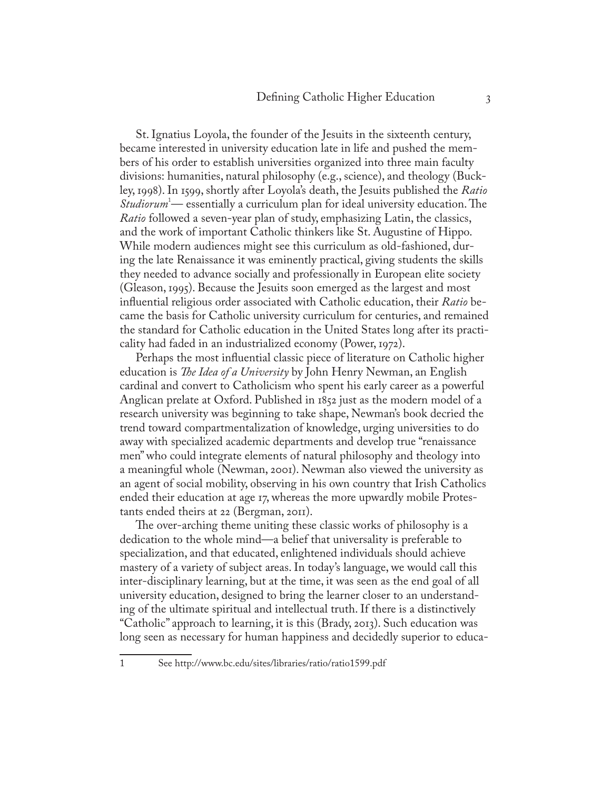St. Ignatius Loyola, the founder of the Jesuits in the sixteenth century, became interested in university education late in life and pushed the members of his order to establish universities organized into three main faculty divisions: humanities, natural philosophy (e.g., science), and theology (Buckley, 1998). In 1599, shortly after Loyola's death, the Jesuits published the *Ratio Studiorum*<sup>1</sup> — essentially a curriculum plan for ideal university education. The *Ratio* followed a seven-year plan of study, emphasizing Latin, the classics, and the work of important Catholic thinkers like St. Augustine of Hippo. While modern audiences might see this curriculum as old-fashioned, during the late Renaissance it was eminently practical, giving students the skills they needed to advance socially and professionally in European elite society (Gleason, 1995). Because the Jesuits soon emerged as the largest and most influential religious order associated with Catholic education, their *Ratio* became the basis for Catholic university curriculum for centuries, and remained the standard for Catholic education in the United States long after its practicality had faded in an industrialized economy (Power, 1972).

Perhaps the most influential classic piece of literature on Catholic higher education is *The Idea of a University* by John Henry Newman, an English cardinal and convert to Catholicism who spent his early career as a powerful Anglican prelate at Oxford. Published in 1852 just as the modern model of a research university was beginning to take shape, Newman's book decried the trend toward compartmentalization of knowledge, urging universities to do away with specialized academic departments and develop true "renaissance men" who could integrate elements of natural philosophy and theology into a meaningful whole (Newman, 2001). Newman also viewed the university as an agent of social mobility, observing in his own country that Irish Catholics ended their education at age 17, whereas the more upwardly mobile Protestants ended theirs at 22 (Bergman, 2011).

The over-arching theme uniting these classic works of philosophy is a dedication to the whole mind—a belief that universality is preferable to specialization, and that educated, enlightened individuals should achieve mastery of a variety of subject areas. In today's language, we would call this inter-disciplinary learning, but at the time, it was seen as the end goal of all university education, designed to bring the learner closer to an understanding of the ultimate spiritual and intellectual truth. If there is a distinctively "Catholic" approach to learning, it is this (Brady, 2013). Such education was long seen as necessary for human happiness and decidedly superior to educa-

<sup>1</sup> See http://www.bc.edu/sites/libraries/ratio/ratio1599.pdf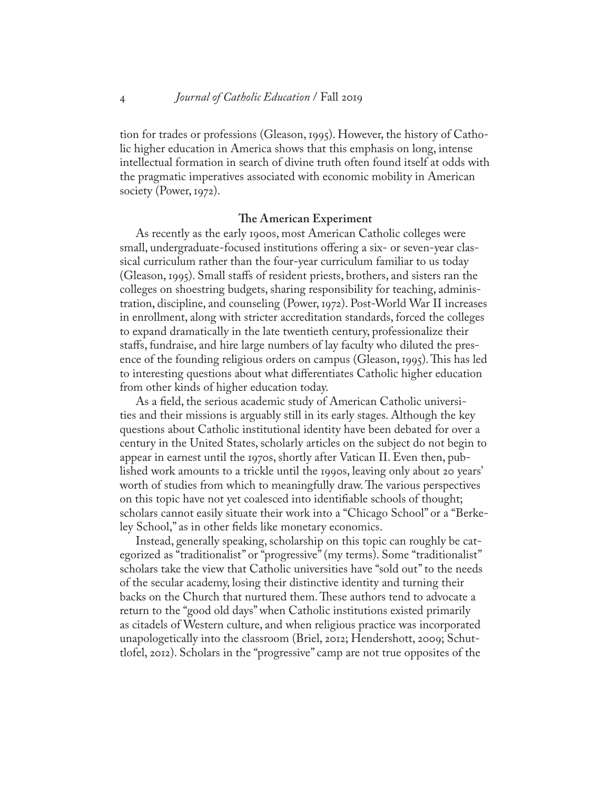tion for trades or professions (Gleason, 1995). However, the history of Catholic higher education in America shows that this emphasis on long, intense intellectual formation in search of divine truth often found itself at odds with the pragmatic imperatives associated with economic mobility in American society (Power, 1972).

# **The American Experiment**

As recently as the early 1900s, most American Catholic colleges were small, undergraduate-focused institutions offering a six- or seven-year classical curriculum rather than the four-year curriculum familiar to us today (Gleason, 1995). Small staffs of resident priests, brothers, and sisters ran the colleges on shoestring budgets, sharing responsibility for teaching, administration, discipline, and counseling (Power, 1972). Post-World War II increases in enrollment, along with stricter accreditation standards, forced the colleges to expand dramatically in the late twentieth century, professionalize their staffs, fundraise, and hire large numbers of lay faculty who diluted the presence of the founding religious orders on campus (Gleason, 1995). This has led to interesting questions about what differentiates Catholic higher education from other kinds of higher education today.

As a field, the serious academic study of American Catholic universities and their missions is arguably still in its early stages. Although the key questions about Catholic institutional identity have been debated for over a century in the United States, scholarly articles on the subject do not begin to appear in earnest until the 1970s, shortly after Vatican II. Even then, published work amounts to a trickle until the 1990s, leaving only about 20 years' worth of studies from which to meaningfully draw. The various perspectives on this topic have not yet coalesced into identifiable schools of thought; scholars cannot easily situate their work into a "Chicago School" or a "Berkeley School," as in other fields like monetary economics.

Instead, generally speaking, scholarship on this topic can roughly be categorized as "traditionalist" or "progressive" (my terms). Some "traditionalist" scholars take the view that Catholic universities have "sold out" to the needs of the secular academy, losing their distinctive identity and turning their backs on the Church that nurtured them. These authors tend to advocate a return to the "good old days" when Catholic institutions existed primarily as citadels of Western culture, and when religious practice was incorporated unapologetically into the classroom (Briel, 2012; Hendershott, 2009; Schuttlofel, 2012). Scholars in the "progressive" camp are not true opposites of the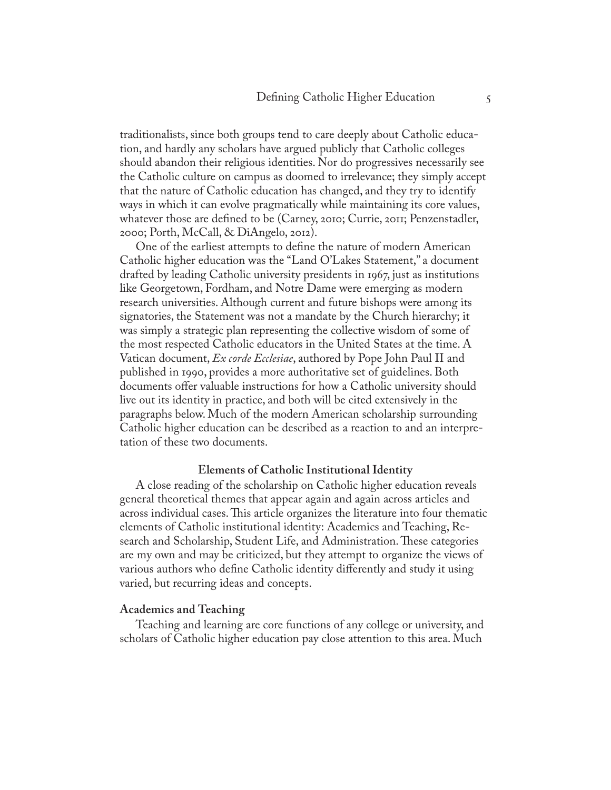traditionalists, since both groups tend to care deeply about Catholic education, and hardly any scholars have argued publicly that Catholic colleges should abandon their religious identities. Nor do progressives necessarily see the Catholic culture on campus as doomed to irrelevance; they simply accept that the nature of Catholic education has changed, and they try to identify ways in which it can evolve pragmatically while maintaining its core values, whatever those are defined to be (Carney, 2010; Currie, 2011; Penzenstadler, 2000; Porth, McCall, & DiAngelo, 2012).

One of the earliest attempts to define the nature of modern American Catholic higher education was the "Land O'Lakes Statement," a document drafted by leading Catholic university presidents in 1967, just as institutions like Georgetown, Fordham, and Notre Dame were emerging as modern research universities. Although current and future bishops were among its signatories, the Statement was not a mandate by the Church hierarchy; it was simply a strategic plan representing the collective wisdom of some of the most respected Catholic educators in the United States at the time. A Vatican document, *Ex corde Ecclesiae*, authored by Pope John Paul II and published in 1990, provides a more authoritative set of guidelines. Both documents offer valuable instructions for how a Catholic university should live out its identity in practice, and both will be cited extensively in the paragraphs below. Much of the modern American scholarship surrounding Catholic higher education can be described as a reaction to and an interpretation of these two documents.

# **Elements of Catholic Institutional Identity**

A close reading of the scholarship on Catholic higher education reveals general theoretical themes that appear again and again across articles and across individual cases. This article organizes the literature into four thematic elements of Catholic institutional identity: Academics and Teaching, Research and Scholarship, Student Life, and Administration. These categories are my own and may be criticized, but they attempt to organize the views of various authors who define Catholic identity differently and study it using varied, but recurring ideas and concepts.

#### **Academics and Teaching**

Teaching and learning are core functions of any college or university, and scholars of Catholic higher education pay close attention to this area. Much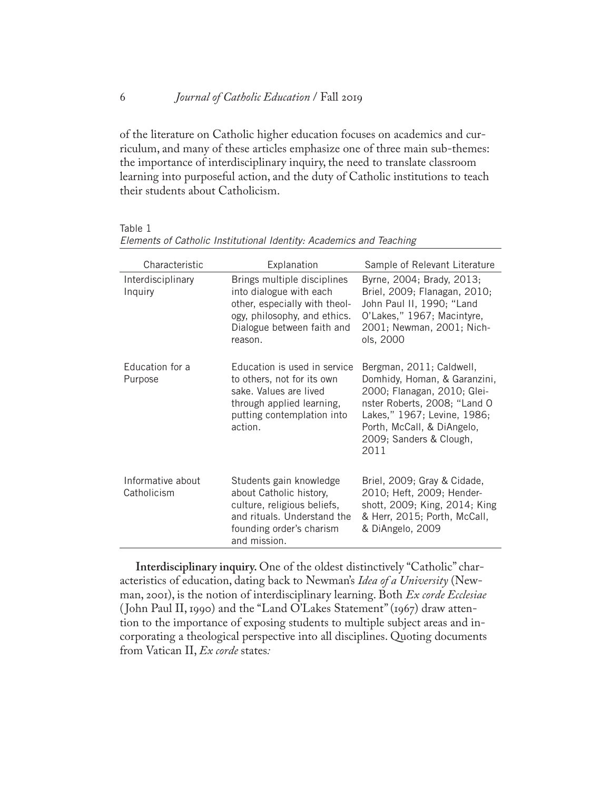of the literature on Catholic higher education focuses on academics and curriculum, and many of these articles emphasize one of three main sub-themes: the importance of interdisciplinary inquiry, the need to translate classroom learning into purposeful action, and the duty of Catholic institutions to teach their students about Catholicism.

Characteristic Explanation Sample of Relevant Literature Interdisciplinary Inquiry Brings multiple disciplines into dialogue with each other, especially with theology, philosophy, and ethics. Dialogue between faith and reason. Byrne, 2004; Brady, 2013; Briel, 2009; Flanagan, 2010; John Paul II, 1990; "Land O'Lakes," 1967; Macintyre, 2001; Newman, 2001; Nichols, 2000 Education for a Purpose Education is used in service Bergman, 2011; Caldwell, to others, not for its own sake. Values are lived through applied learning, putting contemplation into action. Domhidy, Homan, & Garanzini, 2000; Flanagan, 2010; Gleinster Roberts, 2008; "Land O Lakes," 1967; Levine, 1986; Porth, McCall, & DiAngelo, 2009; Sanders & Clough, 2011 Informative about **Catholicism** Students gain knowledge about Catholic history, culture, religious beliefs, and rituals. Understand the founding order's charism and mission. Briel, 2009; Gray & Cidade, 2010; Heft, 2009; Hendershott, 2009; King, 2014; King & Herr, 2015; Porth, McCall, & DiAngelo, 2009

Table 1 *Elements of Catholic Institutional Identity: Academics and Teaching*

**Interdisciplinary inquiry.** One of the oldest distinctively "Catholic" characteristics of education, dating back to Newman's *Idea of a University* (Newman, 2001), is the notion of interdisciplinary learning. Both *Ex corde Ecclesiae*  ( John Paul II, 1990) and the "Land O'Lakes Statement" (1967) draw attention to the importance of exposing students to multiple subject areas and incorporating a theological perspective into all disciplines. Quoting documents from Vatican II, *Ex corde* states*:*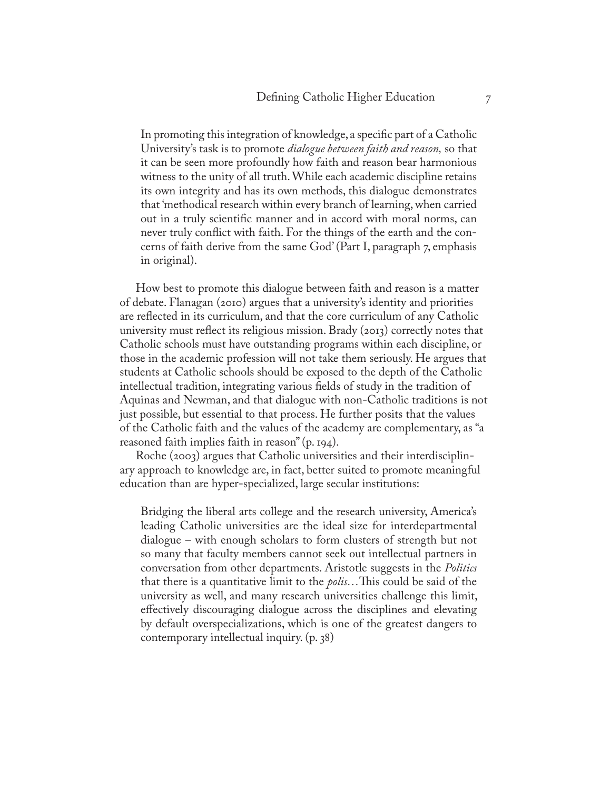In promoting this integration of knowledge, a specific part of a Catholic University's task is to promote *dialogue between faith and reason,* so that it can be seen more profoundly how faith and reason bear harmonious witness to the unity of all truth. While each academic discipline retains its own integrity and has its own methods, this dialogue demonstrates that 'methodical research within every branch of learning, when carried out in a truly scientific manner and in accord with moral norms, can never truly conflict with faith. For the things of the earth and the concerns of faith derive from the same God' (Part I, paragraph 7, emphasis in original).

How best to promote this dialogue between faith and reason is a matter of debate. Flanagan (2010) argues that a university's identity and priorities are reflected in its curriculum, and that the core curriculum of any Catholic university must reflect its religious mission. Brady (2013) correctly notes that Catholic schools must have outstanding programs within each discipline, or those in the academic profession will not take them seriously. He argues that students at Catholic schools should be exposed to the depth of the Catholic intellectual tradition, integrating various fields of study in the tradition of Aquinas and Newman, and that dialogue with non-Catholic traditions is not just possible, but essential to that process. He further posits that the values of the Catholic faith and the values of the academy are complementary, as "a reasoned faith implies faith in reason" (p. 194).

Roche (2003) argues that Catholic universities and their interdisciplinary approach to knowledge are, in fact, better suited to promote meaningful education than are hyper-specialized, large secular institutions:

Bridging the liberal arts college and the research university, America's leading Catholic universities are the ideal size for interdepartmental dialogue – with enough scholars to form clusters of strength but not so many that faculty members cannot seek out intellectual partners in conversation from other departments. Aristotle suggests in the *Politics*  that there is a quantitative limit to the *polis…*This could be said of the university as well, and many research universities challenge this limit, effectively discouraging dialogue across the disciplines and elevating by default overspecializations, which is one of the greatest dangers to contemporary intellectual inquiry. (p. 38)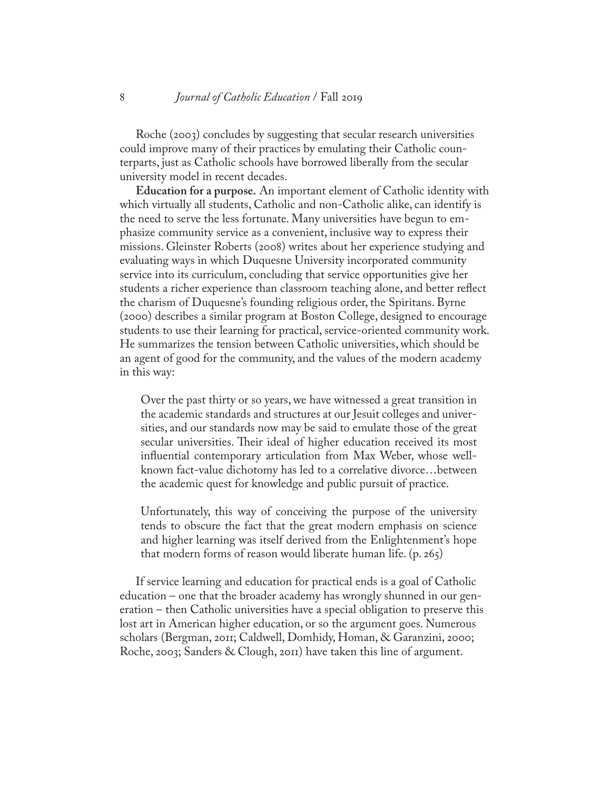Roche (2003) concludes by suggesting that secular research universities could improve many of their practices by emulating their Catholic counterparts, just as Catholic schools have borrowed liberally from the secular university model in recent decades.

**Education for a purpose.** An important element of Catholic identity with which virtually all students, Catholic and non-Catholic alike, can identify is the need to serve the less fortunate. Many universities have begun to emphasize community service as a convenient, inclusive way to express their missions. Gleinster Roberts (2008) writes about her experience studying and evaluating ways in which Duquesne University incorporated community service into its curriculum, concluding that service opportunities give her students a richer experience than classroom teaching alone, and better reflect the charism of Duquesne's founding religious order, the Spiritans. Byrne (2000) describes a similar program at Boston College, designed to encourage students to use their learning for practical, service-oriented community work. He summarizes the tension between Catholic universities, which should be an agent of good for the community, and the values of the modern academy in this way:

Over the past thirty or so years, we have witnessed a great transition in the academic standards and structures at our Jesuit colleges and universities, and our standards now may be said to emulate those of the great secular universities. Their ideal of higher education received its most influential contemporary articulation from Max Weber, whose wellknown fact-value dichotomy has led to a correlative divorce…between the academic quest for knowledge and public pursuit of practice.

Unfortunately, this way of conceiving the purpose of the university tends to obscure the fact that the great modern emphasis on science and higher learning was itself derived from the Enlightenment's hope that modern forms of reason would liberate human life. (p. 265)

If service learning and education for practical ends is a goal of Catholic education – one that the broader academy has wrongly shunned in our generation – then Catholic universities have a special obligation to preserve this lost art in American higher education, or so the argument goes. Numerous scholars (Bergman, 2011; Caldwell, Domhidy, Homan, & Garanzini, 2000; Roche, 2003; Sanders & Clough, 2011) have taken this line of argument.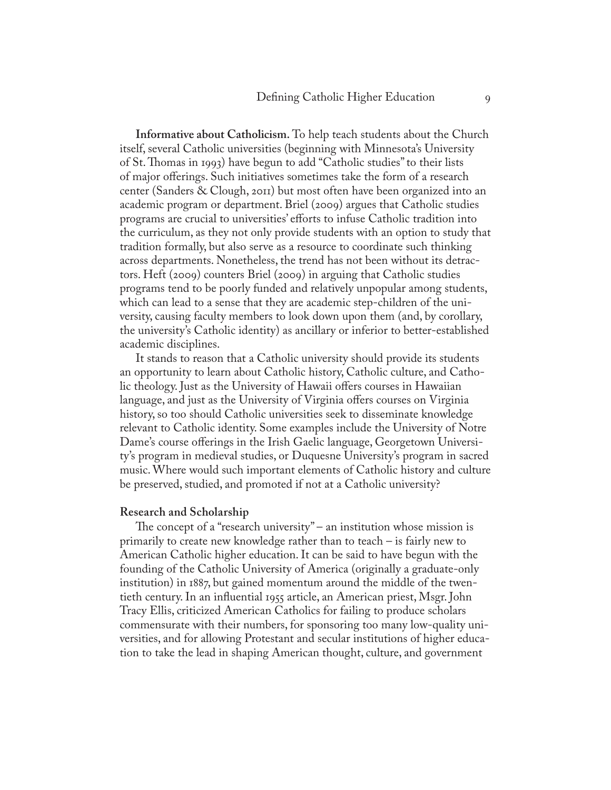**Informative about Catholicism.** To help teach students about the Church itself, several Catholic universities (beginning with Minnesota's University of St. Thomas in 1993) have begun to add "Catholic studies" to their lists of major offerings. Such initiatives sometimes take the form of a research center (Sanders & Clough, 2011) but most often have been organized into an academic program or department. Briel (2009) argues that Catholic studies programs are crucial to universities' efforts to infuse Catholic tradition into the curriculum, as they not only provide students with an option to study that tradition formally, but also serve as a resource to coordinate such thinking across departments. Nonetheless, the trend has not been without its detractors. Heft (2009) counters Briel (2009) in arguing that Catholic studies programs tend to be poorly funded and relatively unpopular among students, which can lead to a sense that they are academic step-children of the university, causing faculty members to look down upon them (and, by corollary, the university's Catholic identity) as ancillary or inferior to better-established academic disciplines.

It stands to reason that a Catholic university should provide its students an opportunity to learn about Catholic history, Catholic culture, and Catholic theology. Just as the University of Hawaii offers courses in Hawaiian language, and just as the University of Virginia offers courses on Virginia history, so too should Catholic universities seek to disseminate knowledge relevant to Catholic identity. Some examples include the University of Notre Dame's course offerings in the Irish Gaelic language, Georgetown University's program in medieval studies, or Duquesne University's program in sacred music. Where would such important elements of Catholic history and culture be preserved, studied, and promoted if not at a Catholic university?

#### **Research and Scholarship**

The concept of a "research university" – an institution whose mission is primarily to create new knowledge rather than to teach – is fairly new to American Catholic higher education. It can be said to have begun with the founding of the Catholic University of America (originally a graduate-only institution) in 1887, but gained momentum around the middle of the twentieth century. In an influential 1955 article, an American priest, Msgr. John Tracy Ellis, criticized American Catholics for failing to produce scholars commensurate with their numbers, for sponsoring too many low-quality universities, and for allowing Protestant and secular institutions of higher education to take the lead in shaping American thought, culture, and government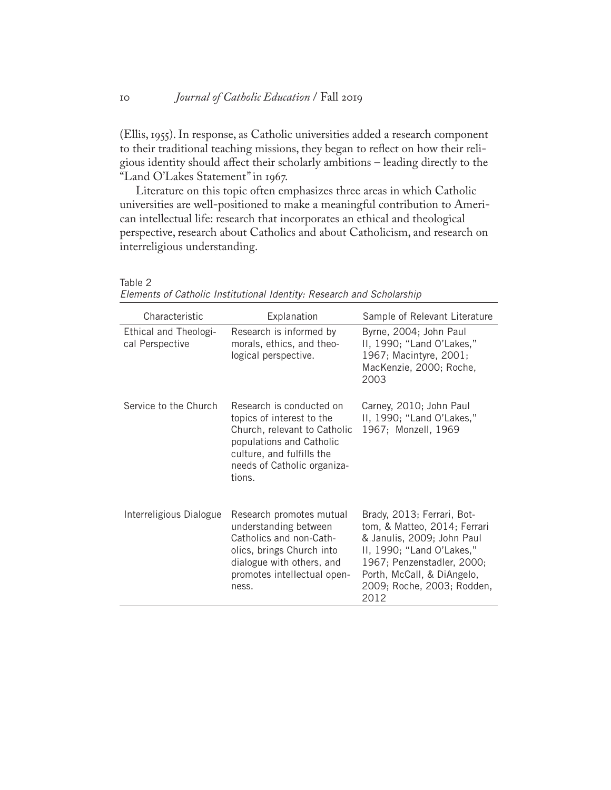(Ellis, 1955). In response, as Catholic universities added a research component to their traditional teaching missions, they began to reflect on how their religious identity should affect their scholarly ambitions – leading directly to the "Land O'Lakes Statement" in 1967.

Literature on this topic often emphasizes three areas in which Catholic universities are well-positioned to make a meaningful contribution to American intellectual life: research that incorporates an ethical and theological perspective, research about Catholics and about Catholicism, and research on interreligious understanding.

| Characteristic                           | Explanation                                                                                                                                                                             | Sample of Relevant Literature                                                                                                                                                                                           |
|------------------------------------------|-----------------------------------------------------------------------------------------------------------------------------------------------------------------------------------------|-------------------------------------------------------------------------------------------------------------------------------------------------------------------------------------------------------------------------|
| Ethical and Theologi-<br>cal Perspective | Research is informed by<br>morals, ethics, and theo-<br>logical perspective.                                                                                                            | Byrne, 2004; John Paul<br>II, 1990; "Land O'Lakes,"<br>1967; Macintyre, 2001;<br>MacKenzie, 2000; Roche,<br>2003                                                                                                        |
| Service to the Church                    | Research is conducted on<br>topics of interest to the<br>Church, relevant to Catholic<br>populations and Catholic<br>culture, and fulfills the<br>needs of Catholic organiza-<br>tions. | Carney, 2010; John Paul<br>II, 1990; "Land O'Lakes,"<br>1967; Monzell, 1969                                                                                                                                             |
| Interreligious Dialogue                  | Research promotes mutual<br>understanding between<br>Catholics and non-Cath-<br>olics, brings Church into<br>dialogue with others, and<br>promotes intellectual open-<br>ness.          | Brady, 2013; Ferrari, Bot-<br>tom, & Matteo, 2014; Ferrari<br>& Janulis, 2009; John Paul<br>II, 1990; "Land O'Lakes,"<br>1967; Penzenstadler, 2000;<br>Porth, McCall, & DiAngelo,<br>2009; Roche, 2003; Rodden,<br>2012 |

# Table 2

| Elements of Catholic Institutional Identity: Research and Scholarship |  |  |  |
|-----------------------------------------------------------------------|--|--|--|
|-----------------------------------------------------------------------|--|--|--|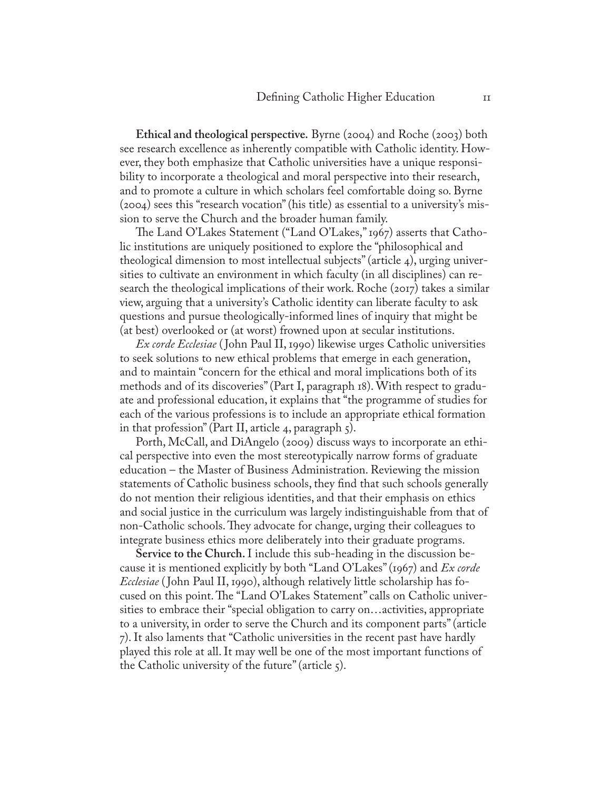**Ethical and theological perspective.** Byrne (2004) and Roche (2003) both see research excellence as inherently compatible with Catholic identity. However, they both emphasize that Catholic universities have a unique responsibility to incorporate a theological and moral perspective into their research, and to promote a culture in which scholars feel comfortable doing so. Byrne (2004) sees this "research vocation" (his title) as essential to a university's mission to serve the Church and the broader human family.

The Land O'Lakes Statement ("Land O'Lakes," 1967) asserts that Catholic institutions are uniquely positioned to explore the "philosophical and theological dimension to most intellectual subjects" (article 4), urging universities to cultivate an environment in which faculty (in all disciplines) can research the theological implications of their work. Roche (2017) takes a similar view, arguing that a university's Catholic identity can liberate faculty to ask questions and pursue theologically-informed lines of inquiry that might be (at best) overlooked or (at worst) frowned upon at secular institutions.

*Ex corde Ecclesiae* ( John Paul II, 1990) likewise urges Catholic universities to seek solutions to new ethical problems that emerge in each generation, and to maintain "concern for the ethical and moral implications both of its methods and of its discoveries" (Part I, paragraph 18). With respect to graduate and professional education, it explains that "the programme of studies for each of the various professions is to include an appropriate ethical formation in that profession" (Part II, article 4, paragraph  $5$ ).

Porth, McCall, and DiAngelo (2009) discuss ways to incorporate an ethical perspective into even the most stereotypically narrow forms of graduate education – the Master of Business Administration. Reviewing the mission statements of Catholic business schools, they find that such schools generally do not mention their religious identities, and that their emphasis on ethics and social justice in the curriculum was largely indistinguishable from that of non-Catholic schools. They advocate for change, urging their colleagues to integrate business ethics more deliberately into their graduate programs.

**Service to the Church.** I include this sub-heading in the discussion because it is mentioned explicitly by both "Land O'Lakes" (1967) and *Ex corde Ecclesiae* ( John Paul II, 1990), although relatively little scholarship has focused on this point. The "Land O'Lakes Statement" calls on Catholic universities to embrace their "special obligation to carry on…activities, appropriate to a university, in order to serve the Church and its component parts" (article 7). It also laments that "Catholic universities in the recent past have hardly played this role at all. It may well be one of the most important functions of the Catholic university of the future" (article  $\zeta$ ).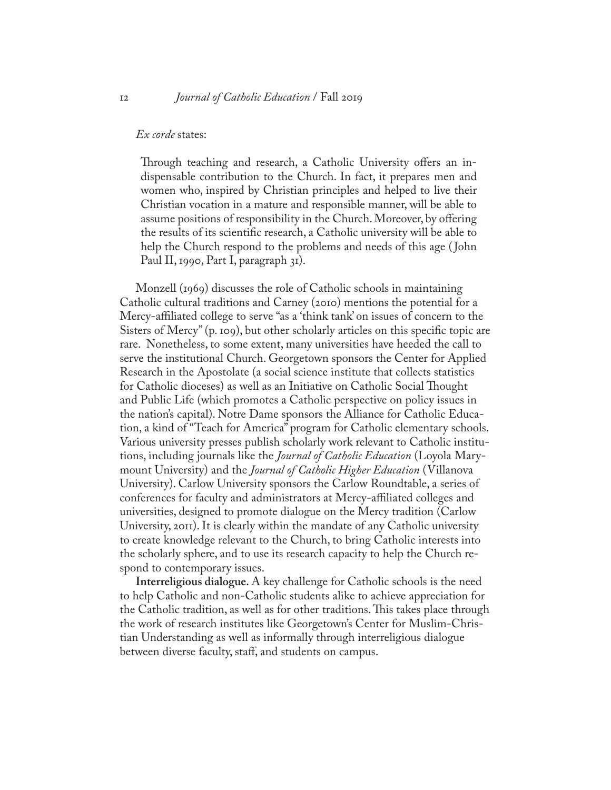#### *Ex corde* states:

Through teaching and research, a Catholic University offers an indispensable contribution to the Church. In fact, it prepares men and women who, inspired by Christian principles and helped to live their Christian vocation in a mature and responsible manner, will be able to assume positions of responsibility in the Church. Moreover, by offering the results of its scientific research, a Catholic university will be able to help the Church respond to the problems and needs of this age (John Paul II, 1990, Part I, paragraph 31).

Monzell (1969) discusses the role of Catholic schools in maintaining Catholic cultural traditions and Carney (2010) mentions the potential for a Mercy-affiliated college to serve "as a 'think tank' on issues of concern to the Sisters of Mercy" (p. 109), but other scholarly articles on this specific topic are rare. Nonetheless, to some extent, many universities have heeded the call to serve the institutional Church. Georgetown sponsors the Center for Applied Research in the Apostolate (a social science institute that collects statistics for Catholic dioceses) as well as an Initiative on Catholic Social Thought and Public Life (which promotes a Catholic perspective on policy issues in the nation's capital). Notre Dame sponsors the Alliance for Catholic Education, a kind of "Teach for America" program for Catholic elementary schools. Various university presses publish scholarly work relevant to Catholic institutions, including journals like the *Journal of Catholic Education* (Loyola Marymount University) and the *Journal of Catholic Higher Education* (Villanova University). Carlow University sponsors the Carlow Roundtable, a series of conferences for faculty and administrators at Mercy-affiliated colleges and universities, designed to promote dialogue on the Mercy tradition (Carlow University, 2011). It is clearly within the mandate of any Catholic university to create knowledge relevant to the Church, to bring Catholic interests into the scholarly sphere, and to use its research capacity to help the Church respond to contemporary issues.

**Interreligious dialogue.** A key challenge for Catholic schools is the need to help Catholic and non-Catholic students alike to achieve appreciation for the Catholic tradition, as well as for other traditions. This takes place through the work of research institutes like Georgetown's Center for Muslim-Christian Understanding as well as informally through interreligious dialogue between diverse faculty, staff, and students on campus.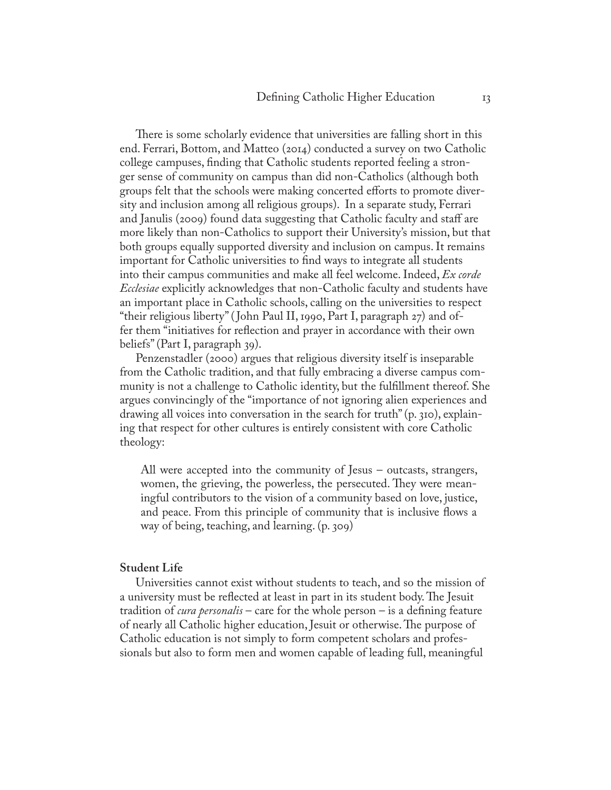There is some scholarly evidence that universities are falling short in this end. Ferrari, Bottom, and Matteo (2014) conducted a survey on two Catholic college campuses, finding that Catholic students reported feeling a stronger sense of community on campus than did non-Catholics (although both groups felt that the schools were making concerted efforts to promote diversity and inclusion among all religious groups). In a separate study, Ferrari and Janulis (2009) found data suggesting that Catholic faculty and staff are more likely than non-Catholics to support their University's mission, but that both groups equally supported diversity and inclusion on campus. It remains important for Catholic universities to find ways to integrate all students into their campus communities and make all feel welcome. Indeed, *Ex corde Ecclesiae* explicitly acknowledges that non-Catholic faculty and students have an important place in Catholic schools, calling on the universities to respect "their religious liberty" ( John Paul II, 1990, Part I, paragraph 27) and offer them "initiatives for reflection and prayer in accordance with their own beliefs" (Part I, paragraph 39).

Penzenstadler (2000) argues that religious diversity itself is inseparable from the Catholic tradition, and that fully embracing a diverse campus community is not a challenge to Catholic identity, but the fulfillment thereof. She argues convincingly of the "importance of not ignoring alien experiences and drawing all voices into conversation in the search for truth" (p. 310), explaining that respect for other cultures is entirely consistent with core Catholic theology:

All were accepted into the community of Jesus – outcasts, strangers, women, the grieving, the powerless, the persecuted. They were meaningful contributors to the vision of a community based on love, justice, and peace. From this principle of community that is inclusive flows a way of being, teaching, and learning. (p. 309)

# **Student Life**

Universities cannot exist without students to teach, and so the mission of a university must be reflected at least in part in its student body. The Jesuit tradition of *cura personalis* – care for the whole person – is a defining feature of nearly all Catholic higher education, Jesuit or otherwise. The purpose of Catholic education is not simply to form competent scholars and professionals but also to form men and women capable of leading full, meaningful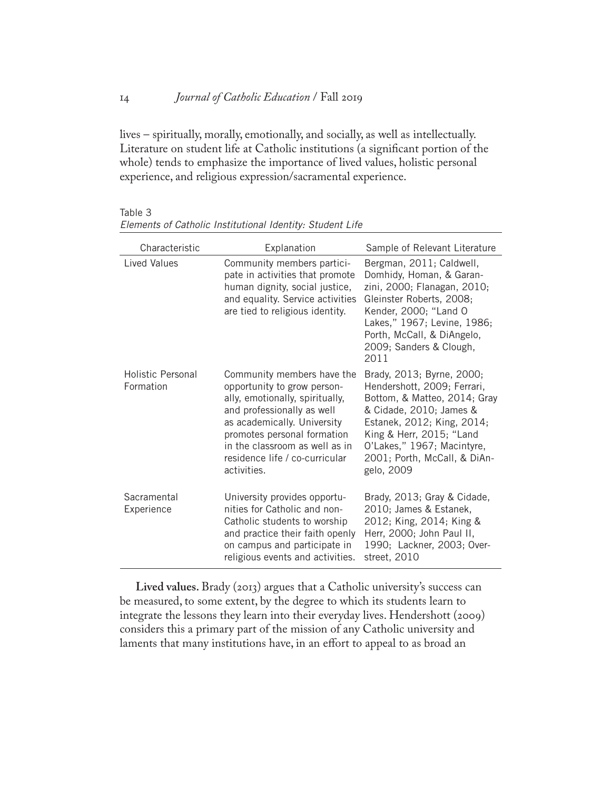lives – spiritually, morally, emotionally, and socially, as well as intellectually. Literature on student life at Catholic institutions (a significant portion of the whole) tends to emphasize the importance of lived values, holistic personal experience, and religious expression/sacramental experience.

| Characteristic                 | Explanation                                                                                                                                                                                                                                                                 | Sample of Relevant Literature                                                                                                                                                                                                                             |
|--------------------------------|-----------------------------------------------------------------------------------------------------------------------------------------------------------------------------------------------------------------------------------------------------------------------------|-----------------------------------------------------------------------------------------------------------------------------------------------------------------------------------------------------------------------------------------------------------|
| Lived Values                   | Community members partici-<br>pate in activities that promote<br>human dignity, social justice,<br>and equality. Service activities<br>are tied to religious identity.                                                                                                      | Bergman, 2011; Caldwell,<br>Domhidy, Homan, & Garan-<br>zini, 2000; Flanagan, 2010;<br>Gleinster Roberts, 2008;<br>Kender, 2000; "Land O<br>Lakes," 1967; Levine, 1986;<br>Porth, McCall, & DiAngelo,<br>2009; Sanders & Clough,<br>2011                  |
| Holistic Personal<br>Formation | Community members have the<br>opportunity to grow person-<br>ally, emotionally, spiritually,<br>and professionally as well<br>as academically. University<br>promotes personal formation<br>in the classroom as well as in<br>residence life / co-curricular<br>activities. | Brady, 2013; Byrne, 2000;<br>Hendershott, 2009; Ferrari,<br>Bottom, & Matteo, 2014; Gray<br>& Cidade, 2010; James &<br>Estanek, 2012; King, 2014;<br>King & Herr, 2015; "Land<br>O'Lakes," 1967; Macintyre,<br>2001; Porth, McCall, & DiAn-<br>gelo, 2009 |
| Sacramental<br>Experience      | University provides opportu-<br>nities for Catholic and non-<br>Catholic students to worship<br>and practice their faith openly<br>on campus and participate in<br>religious events and activities.                                                                         | Brady, 2013; Gray & Cidade,<br>2010; James & Estanek,<br>2012; King, 2014; King &<br>Herr, 2000; John Paul II,<br>1990; Lackner, 2003; Over-<br>street, 2010                                                                                              |

Table 3 *Elements of Catholic Institutional Identity: Student Life*

**Lived values.** Brady (2013) argues that a Catholic university's success can be measured, to some extent, by the degree to which its students learn to integrate the lessons they learn into their everyday lives. Hendershott (2009) considers this a primary part of the mission of any Catholic university and laments that many institutions have, in an effort to appeal to as broad an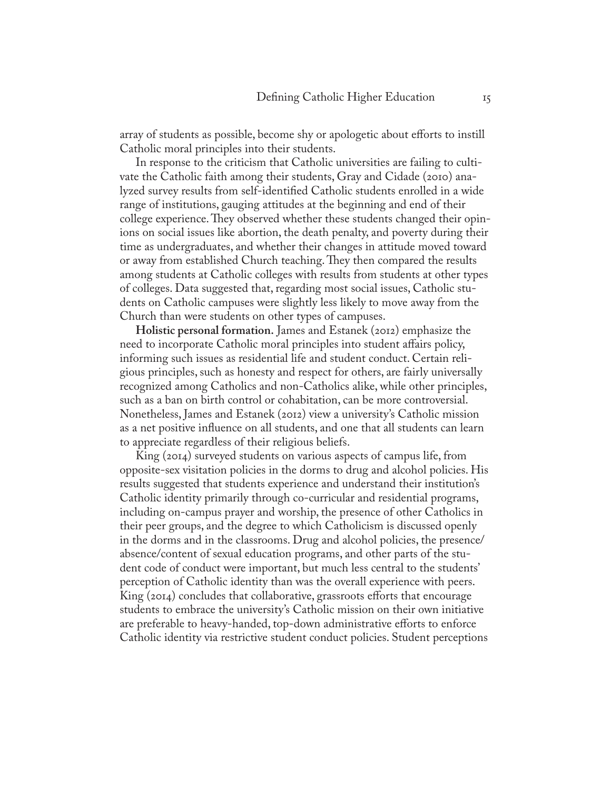array of students as possible, become shy or apologetic about efforts to instill Catholic moral principles into their students.

In response to the criticism that Catholic universities are failing to cultivate the Catholic faith among their students, Gray and Cidade (2010) analyzed survey results from self-identified Catholic students enrolled in a wide range of institutions, gauging attitudes at the beginning and end of their college experience. They observed whether these students changed their opinions on social issues like abortion, the death penalty, and poverty during their time as undergraduates, and whether their changes in attitude moved toward or away from established Church teaching. They then compared the results among students at Catholic colleges with results from students at other types of colleges. Data suggested that, regarding most social issues, Catholic students on Catholic campuses were slightly less likely to move away from the Church than were students on other types of campuses.

**Holistic personal formation.** James and Estanek (2012) emphasize the need to incorporate Catholic moral principles into student affairs policy, informing such issues as residential life and student conduct. Certain religious principles, such as honesty and respect for others, are fairly universally recognized among Catholics and non-Catholics alike, while other principles, such as a ban on birth control or cohabitation, can be more controversial. Nonetheless, James and Estanek (2012) view a university's Catholic mission as a net positive influence on all students, and one that all students can learn to appreciate regardless of their religious beliefs.

King (2014) surveyed students on various aspects of campus life, from opposite-sex visitation policies in the dorms to drug and alcohol policies. His results suggested that students experience and understand their institution's Catholic identity primarily through co-curricular and residential programs, including on-campus prayer and worship, the presence of other Catholics in their peer groups, and the degree to which Catholicism is discussed openly in the dorms and in the classrooms. Drug and alcohol policies, the presence/ absence/content of sexual education programs, and other parts of the student code of conduct were important, but much less central to the students' perception of Catholic identity than was the overall experience with peers. King (2014) concludes that collaborative, grassroots efforts that encourage students to embrace the university's Catholic mission on their own initiative are preferable to heavy-handed, top-down administrative efforts to enforce Catholic identity via restrictive student conduct policies. Student perceptions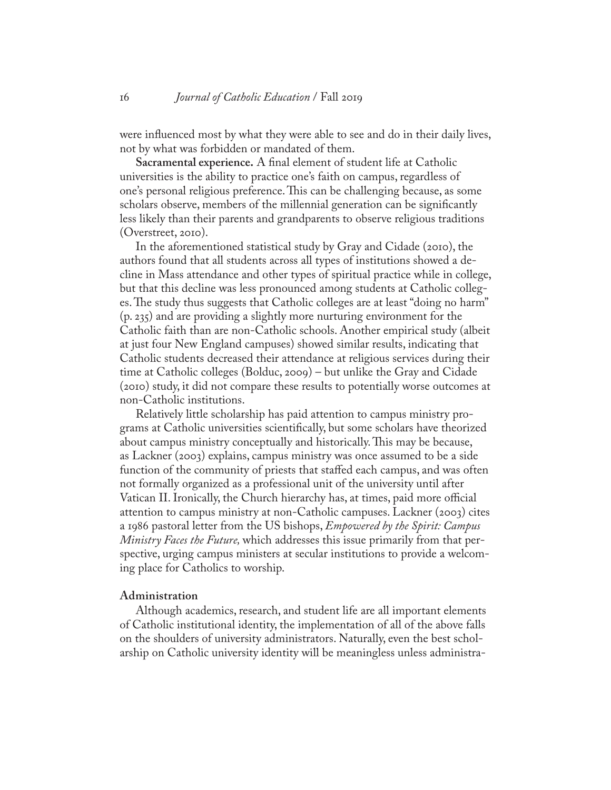were influenced most by what they were able to see and do in their daily lives, not by what was forbidden or mandated of them.

**Sacramental experience.** A final element of student life at Catholic universities is the ability to practice one's faith on campus, regardless of one's personal religious preference. This can be challenging because, as some scholars observe, members of the millennial generation can be significantly less likely than their parents and grandparents to observe religious traditions (Overstreet, 2010).

In the aforementioned statistical study by Gray and Cidade (2010), the authors found that all students across all types of institutions showed a decline in Mass attendance and other types of spiritual practice while in college, but that this decline was less pronounced among students at Catholic colleges. The study thus suggests that Catholic colleges are at least "doing no harm" (p. 235) and are providing a slightly more nurturing environment for the Catholic faith than are non-Catholic schools. Another empirical study (albeit at just four New England campuses) showed similar results, indicating that Catholic students decreased their attendance at religious services during their time at Catholic colleges (Bolduc, 2009) – but unlike the Gray and Cidade (2010) study, it did not compare these results to potentially worse outcomes at non-Catholic institutions.

Relatively little scholarship has paid attention to campus ministry programs at Catholic universities scientifically, but some scholars have theorized about campus ministry conceptually and historically. This may be because, as Lackner (2003) explains, campus ministry was once assumed to be a side function of the community of priests that staffed each campus, and was often not formally organized as a professional unit of the university until after Vatican II. Ironically, the Church hierarchy has, at times, paid more official attention to campus ministry at non-Catholic campuses. Lackner (2003) cites a 1986 pastoral letter from the US bishops, *Empowered by the Spirit: Campus Ministry Faces the Future,* which addresses this issue primarily from that perspective, urging campus ministers at secular institutions to provide a welcoming place for Catholics to worship.

# **Administration**

Although academics, research, and student life are all important elements of Catholic institutional identity, the implementation of all of the above falls on the shoulders of university administrators. Naturally, even the best scholarship on Catholic university identity will be meaningless unless administra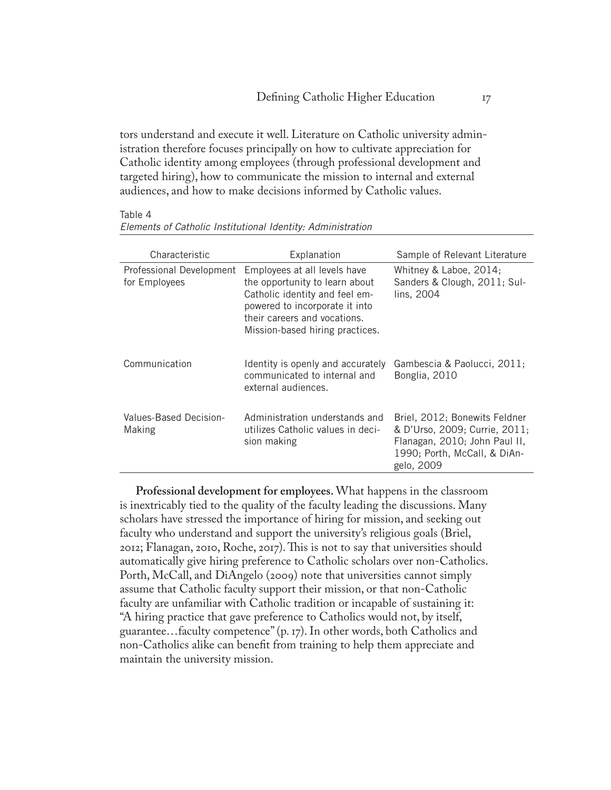tors understand and execute it well. Literature on Catholic university administration therefore focuses principally on how to cultivate appreciation for Catholic identity among employees (through professional development and targeted hiring), how to communicate the mission to internal and external audiences, and how to make decisions informed by Catholic values.

Table 4

| Characteristic                            | Explanation                                                                                                                                                                                           | Sample of Relevant Literature                                                                                                                 |
|-------------------------------------------|-------------------------------------------------------------------------------------------------------------------------------------------------------------------------------------------------------|-----------------------------------------------------------------------------------------------------------------------------------------------|
| Professional Development<br>for Employees | Employees at all levels have<br>the opportunity to learn about<br>Catholic identity and feel em-<br>powered to incorporate it into<br>their careers and vocations.<br>Mission-based hiring practices. | Whitney & Laboe, 2014;<br>Sanders & Clough, 2011; Sul-<br>lins, 2004                                                                          |
| Communication                             | Identity is openly and accurately<br>communicated to internal and<br>external audiences.                                                                                                              | Gambescia & Paolucci, 2011;<br>Bonglia, 2010                                                                                                  |
| Values-Based Decision-<br>Making          | Administration understands and<br>utilizes Catholic values in deci-<br>sion making                                                                                                                    | Briel, 2012; Bonewits Feldner<br>& D'Urso, 2009; Currie, 2011;<br>Flanagan, 2010; John Paul II,<br>1990; Porth, McCall, & DiAn-<br>gelo, 2009 |

*Elements of Catholic Institutional Identity: Administration*

**Professional development for employees.** What happens in the classroom is inextricably tied to the quality of the faculty leading the discussions. Many scholars have stressed the importance of hiring for mission, and seeking out faculty who understand and support the university's religious goals (Briel, 2012; Flanagan, 2010, Roche, 2017). This is not to say that universities should automatically give hiring preference to Catholic scholars over non-Catholics. Porth, McCall, and DiAngelo (2009) note that universities cannot simply assume that Catholic faculty support their mission, or that non-Catholic faculty are unfamiliar with Catholic tradition or incapable of sustaining it: "A hiring practice that gave preference to Catholics would not, by itself, guarantee…faculty competence" (p. 17). In other words, both Catholics and non-Catholics alike can benefit from training to help them appreciate and maintain the university mission.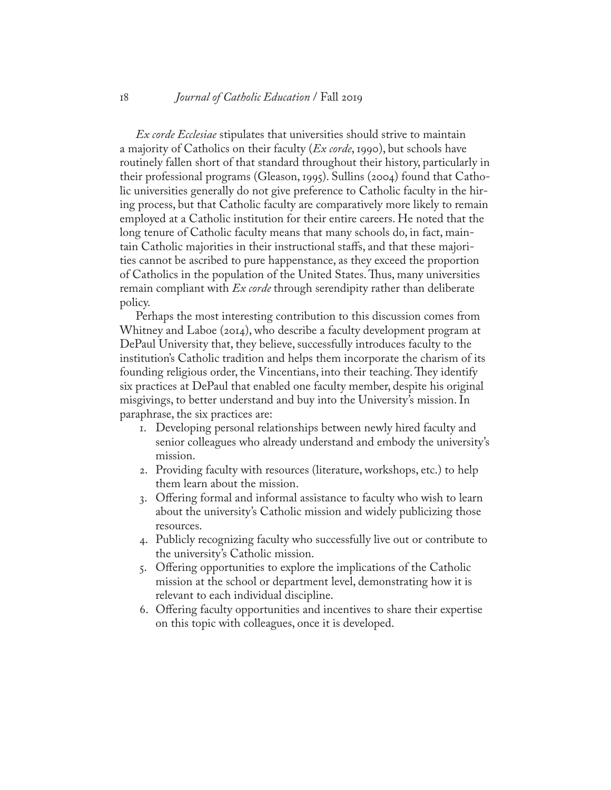### 18 *Journal of Catholic Education* / Fall 2019

*Ex corde Ecclesiae* stipulates that universities should strive to maintain a majority of Catholics on their faculty (*Ex corde*, 1990), but schools have routinely fallen short of that standard throughout their history, particularly in their professional programs (Gleason, 1995). Sullins (2004) found that Catholic universities generally do not give preference to Catholic faculty in the hiring process, but that Catholic faculty are comparatively more likely to remain employed at a Catholic institution for their entire careers. He noted that the long tenure of Catholic faculty means that many schools do, in fact, maintain Catholic majorities in their instructional staffs, and that these majorities cannot be ascribed to pure happenstance, as they exceed the proportion of Catholics in the population of the United States. Thus, many universities remain compliant with *Ex corde* through serendipity rather than deliberate policy.

Perhaps the most interesting contribution to this discussion comes from Whitney and Laboe (2014), who describe a faculty development program at DePaul University that, they believe, successfully introduces faculty to the institution's Catholic tradition and helps them incorporate the charism of its founding religious order, the Vincentians, into their teaching. They identify six practices at DePaul that enabled one faculty member, despite his original misgivings, to better understand and buy into the University's mission. In paraphrase, the six practices are:

- 1. Developing personal relationships between newly hired faculty and senior colleagues who already understand and embody the university's mission.
- 2. Providing faculty with resources (literature, workshops, etc.) to help them learn about the mission.
- 3. Offering formal and informal assistance to faculty who wish to learn about the university's Catholic mission and widely publicizing those resources.
- 4. Publicly recognizing faculty who successfully live out or contribute to the university's Catholic mission.
- 5. Offering opportunities to explore the implications of the Catholic mission at the school or department level, demonstrating how it is relevant to each individual discipline.
- 6. Offering faculty opportunities and incentives to share their expertise on this topic with colleagues, once it is developed.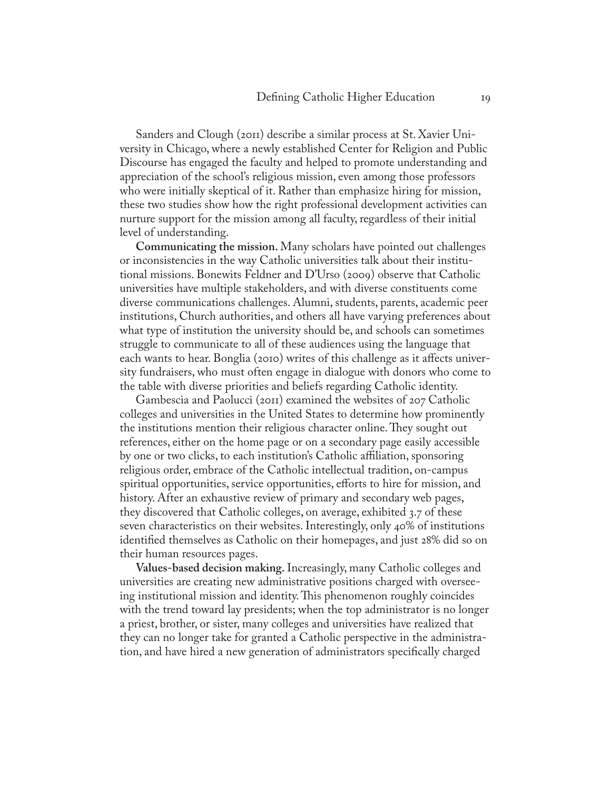Sanders and Clough (2011) describe a similar process at St. Xavier University in Chicago, where a newly established Center for Religion and Public Discourse has engaged the faculty and helped to promote understanding and appreciation of the school's religious mission, even among those professors who were initially skeptical of it. Rather than emphasize hiring for mission, these two studies show how the right professional development activities can nurture support for the mission among all faculty, regardless of their initial level of understanding.

**Communicating the mission.** Many scholars have pointed out challenges or inconsistencies in the way Catholic universities talk about their institutional missions. Bonewits Feldner and D'Urso (2009) observe that Catholic universities have multiple stakeholders, and with diverse constituents come diverse communications challenges. Alumni, students, parents, academic peer institutions, Church authorities, and others all have varying preferences about what type of institution the university should be, and schools can sometimes struggle to communicate to all of these audiences using the language that each wants to hear. Bonglia (2010) writes of this challenge as it affects university fundraisers, who must often engage in dialogue with donors who come to the table with diverse priorities and beliefs regarding Catholic identity.

Gambescia and Paolucci (2011) examined the websites of 207 Catholic colleges and universities in the United States to determine how prominently the institutions mention their religious character online. They sought out references, either on the home page or on a secondary page easily accessible by one or two clicks, to each institution's Catholic affiliation, sponsoring religious order, embrace of the Catholic intellectual tradition, on-campus spiritual opportunities, service opportunities, efforts to hire for mission, and history. After an exhaustive review of primary and secondary web pages, they discovered that Catholic colleges, on average, exhibited 3.7 of these seven characteristics on their websites. Interestingly, only 40% of institutions identified themselves as Catholic on their homepages, and just 28% did so on their human resources pages.

**Values-based decision making.** Increasingly, many Catholic colleges and universities are creating new administrative positions charged with overseeing institutional mission and identity. This phenomenon roughly coincides with the trend toward lay presidents; when the top administrator is no longer a priest, brother, or sister, many colleges and universities have realized that they can no longer take for granted a Catholic perspective in the administration, and have hired a new generation of administrators specifically charged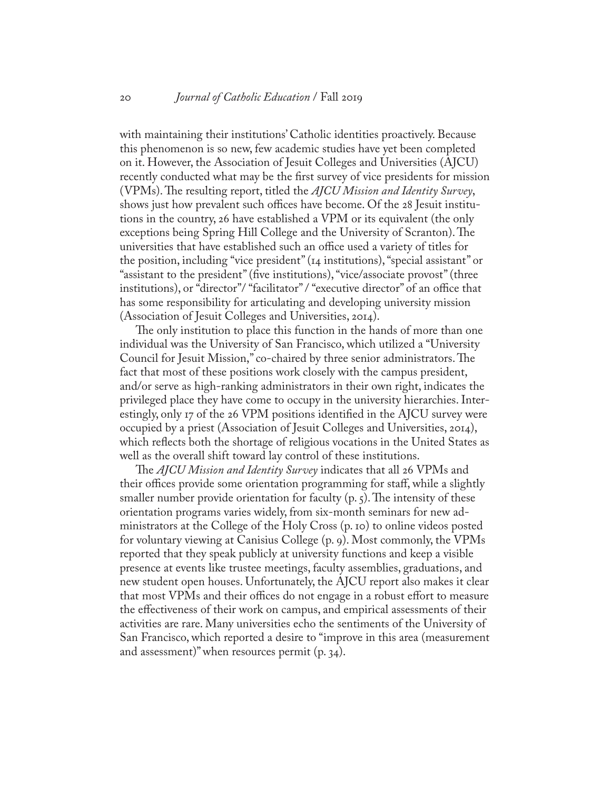with maintaining their institutions' Catholic identities proactively. Because this phenomenon is so new, few academic studies have yet been completed on it. However, the Association of Jesuit Colleges and Universities (AJCU) recently conducted what may be the first survey of vice presidents for mission (VPMs). The resulting report, titled the *AJCU Mission and Identity Survey*, shows just how prevalent such offices have become. Of the 28 Jesuit institutions in the country, 26 have established a VPM or its equivalent (the only exceptions being Spring Hill College and the University of Scranton). The universities that have established such an office used a variety of titles for the position, including "vice president" (14 institutions), "special assistant" or "assistant to the president" (five institutions), "vice/associate provost" (three institutions), or "director"/ "facilitator" / "executive director" of an office that has some responsibility for articulating and developing university mission (Association of Jesuit Colleges and Universities, 2014).

The only institution to place this function in the hands of more than one individual was the University of San Francisco, which utilized a "University Council for Jesuit Mission," co-chaired by three senior administrators. The fact that most of these positions work closely with the campus president, and/or serve as high-ranking administrators in their own right, indicates the privileged place they have come to occupy in the university hierarchies. Interestingly, only 17 of the 26 VPM positions identified in the AJCU survey were occupied by a priest (Association of Jesuit Colleges and Universities, 2014), which reflects both the shortage of religious vocations in the United States as well as the overall shift toward lay control of these institutions.

The *AJCU Mission and Identity Survey* indicates that all 26 VPMs and their offices provide some orientation programming for staff, while a slightly smaller number provide orientation for faculty (p. 5). The intensity of these orientation programs varies widely, from six-month seminars for new administrators at the College of the Holy Cross (p. 10) to online videos posted for voluntary viewing at Canisius College (p. 9). Most commonly, the VPMs reported that they speak publicly at university functions and keep a visible presence at events like trustee meetings, faculty assemblies, graduations, and new student open houses. Unfortunately, the AJCU report also makes it clear that most VPMs and their offices do not engage in a robust effort to measure the effectiveness of their work on campus, and empirical assessments of their activities are rare. Many universities echo the sentiments of the University of San Francisco, which reported a desire to "improve in this area (measurement and assessment)" when resources permit (p. 34).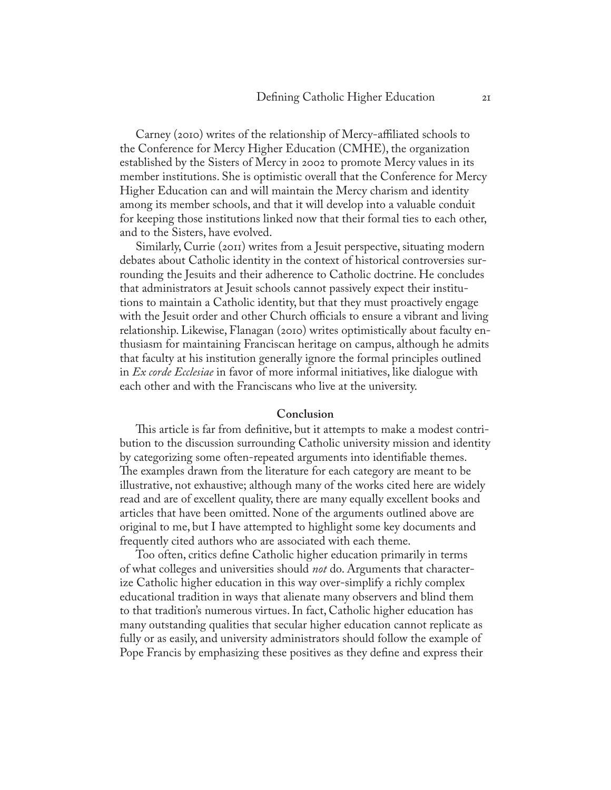Carney (2010) writes of the relationship of Mercy-affiliated schools to the Conference for Mercy Higher Education (CMHE), the organization established by the Sisters of Mercy in 2002 to promote Mercy values in its member institutions. She is optimistic overall that the Conference for Mercy Higher Education can and will maintain the Mercy charism and identity among its member schools, and that it will develop into a valuable conduit for keeping those institutions linked now that their formal ties to each other, and to the Sisters, have evolved.

Similarly, Currie (2011) writes from a Jesuit perspective, situating modern debates about Catholic identity in the context of historical controversies surrounding the Jesuits and their adherence to Catholic doctrine. He concludes that administrators at Jesuit schools cannot passively expect their institutions to maintain a Catholic identity, but that they must proactively engage with the Jesuit order and other Church officials to ensure a vibrant and living relationship. Likewise, Flanagan (2010) writes optimistically about faculty enthusiasm for maintaining Franciscan heritage on campus, although he admits that faculty at his institution generally ignore the formal principles outlined in *Ex corde Ecclesiae* in favor of more informal initiatives, like dialogue with each other and with the Franciscans who live at the university.

#### **Conclusion**

This article is far from definitive, but it attempts to make a modest contribution to the discussion surrounding Catholic university mission and identity by categorizing some often-repeated arguments into identifiable themes. The examples drawn from the literature for each category are meant to be illustrative, not exhaustive; although many of the works cited here are widely read and are of excellent quality, there are many equally excellent books and articles that have been omitted. None of the arguments outlined above are original to me, but I have attempted to highlight some key documents and frequently cited authors who are associated with each theme.

Too often, critics define Catholic higher education primarily in terms of what colleges and universities should *not* do. Arguments that characterize Catholic higher education in this way over-simplify a richly complex educational tradition in ways that alienate many observers and blind them to that tradition's numerous virtues. In fact, Catholic higher education has many outstanding qualities that secular higher education cannot replicate as fully or as easily, and university administrators should follow the example of Pope Francis by emphasizing these positives as they define and express their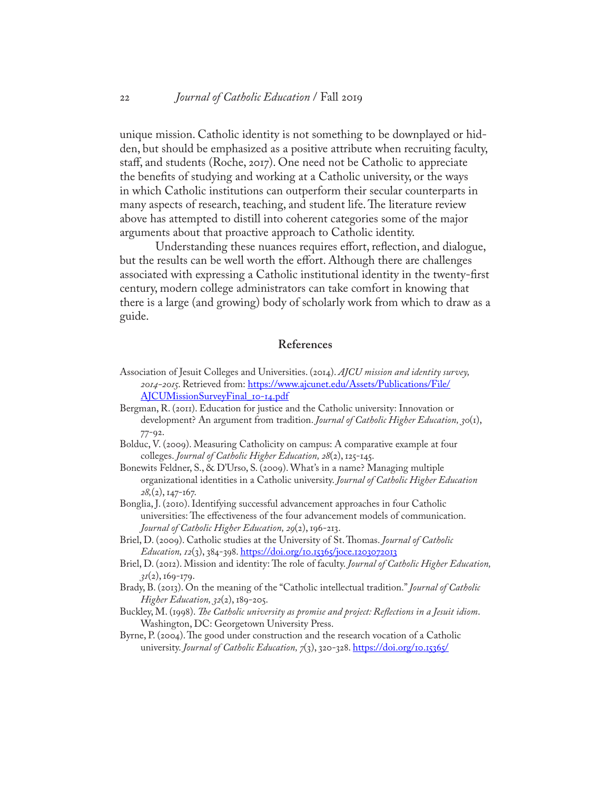unique mission. Catholic identity is not something to be downplayed or hidden, but should be emphasized as a positive attribute when recruiting faculty, staff, and students (Roche, 2017). One need not be Catholic to appreciate the benefits of studying and working at a Catholic university, or the ways in which Catholic institutions can outperform their secular counterparts in many aspects of research, teaching, and student life. The literature review above has attempted to distill into coherent categories some of the major arguments about that proactive approach to Catholic identity.

Understanding these nuances requires effort, reflection, and dialogue, but the results can be well worth the effort. Although there are challenges associated with expressing a Catholic institutional identity in the twenty-first century, modern college administrators can take comfort in knowing that there is a large (and growing) body of scholarly work from which to draw as a guide.

# **References**

- Association of Jesuit Colleges and Universities. (2014). *AJCU mission and identity survey, 2014-2015*. Retrieved from: [https://www.ajcunet.edu/Assets/Publications/File/](https://www.ajcunet.edu/Assets/Publications/File/AJCUMissionSurveyFinal_10-14.pdf) [AJCUMissionSurveyFinal\\_10-14.pdf](https://www.ajcunet.edu/Assets/Publications/File/AJCUMissionSurveyFinal_10-14.pdf)
- Bergman, R. (2011). Education for justice and the Catholic university: Innovation or development? An argument from tradition. *Journal of Catholic Higher Education, 30*(1), 77-92.
- Bolduc, V. (2009). Measuring Catholicity on campus: A comparative example at four colleges. *Journal of Catholic Higher Education, 28*(2), 125-145.
- Bonewits Feldner, S., & D'Urso, S. (2009). What's in a name? Managing multiple organizational identities in a Catholic university. *Journal of Catholic Higher Education 28,*(2), 147-167.
- Bonglia, J. (2010). Identifying successful advancement approaches in four Catholic universities: The effectiveness of the four advancement models of communication. *Journal of Catholic Higher Education, 29*(2), 196-213.
- Briel, D. (2009). Catholic studies at the University of St. Thomas. *Journal of Catholic Education, 12*(3), 384-398.<https://doi.org/10.15365/joce.1203072013>
- Briel, D. (2012). Mission and identity: The role of faculty. *Journal of Catholic Higher Education, 31*(2), 169-179.
- Brady, B. (2013). On the meaning of the "Catholic intellectual tradition." *Journal of Catholic Higher Education, 32*(2), 189-205.
- Buckley, M. (1998). *The Catholic university as promise and project: Reflections in a Jesuit idiom*. Washington, DC: Georgetown University Press.
- Byrne, P. (2004). The good under construction and the research vocation of a Catholic university. *Journal of Catholic Education, 7*(3), 320-328. [https://doi.org/10.15365/](https://doi.org/10.15365/joce.0703042013 )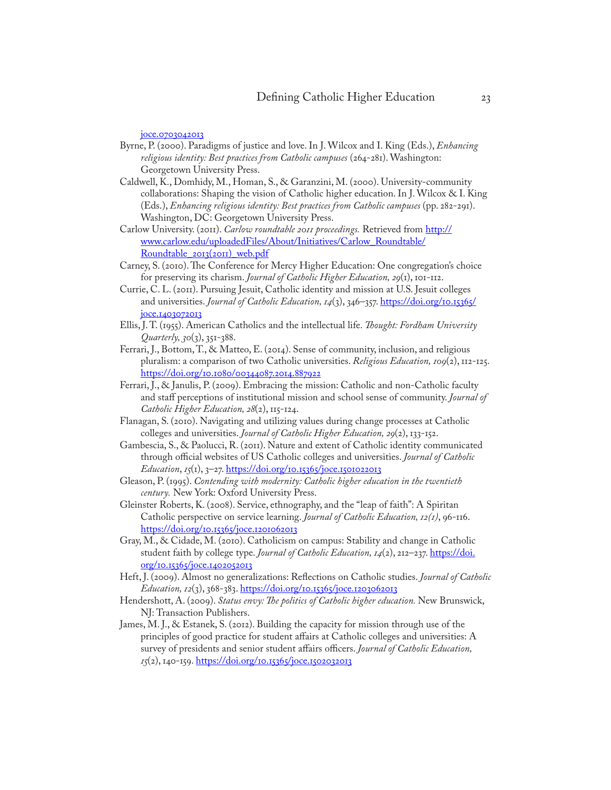[joce.0703042013](https://doi.org/10.15365/joce.0703042013 )

- [Byrne, P. \(2000\). Paradigms of justice and love. In J. Wilcox and I. King \(Eds.\),](https://doi.org/10.15365/joce.0703042013 ) *Enhancing [religious identity: Best practices from Catholic campuses](https://doi.org/10.15365/joce.0703042013 )* (264-281). Washington: [Georgetown University Press.](https://doi.org/10.15365/joce.0703042013 )
- Caldwell, K., Domhidy, M., Homan, S., & Garanzini, M. (2000). University-community collaborations: Shaping the vision of Catholic higher education. In J. Wilcox & I. King (Eds.), *Enhancing religious identity: Best practices from Catholic campuses* (pp. 282-291). Washington, DC: Georgetown University Press.
- Carlow University. (2011). *Carlow roundtable 2011 proceedings.* Retrieved from [http://](http://www.carlow.edu/uploadedFiles/About/Initiatives/Carlow_Roundtable/Roundtable_2013(2011)_web.pdf) [www.carlow.edu/uploadedFiles/About/Initiatives/Carlow\\_Roundtable/](http://www.carlow.edu/uploadedFiles/About/Initiatives/Carlow_Roundtable/Roundtable_2013(2011)_web.pdf) [Roundtable\\_2013\(2011\)\\_web.pdf](http://www.carlow.edu/uploadedFiles/About/Initiatives/Carlow_Roundtable/Roundtable_2013(2011)_web.pdf)
- Carney, S. (2010). The Conference for Mercy Higher Education: One congregation's choice for preserving its charism. *Journal of Catholic Higher Education, 29*(1), 101-112.
- Currie, C. L. (2011). Pursuing Jesuit, Catholic identity and mission at U.S. Jesuit colleges and universities. *Journal of Catholic Education, 14*(3), 346–357. [https://doi.org/10.15365/](https://doi.org/10.15365/joce.1403072013 ) [joce.1403072013](https://doi.org/10.15365/joce.1403072013 )
- Ellis, J. T. (1955). American Catholics and the intellectual life. *Thought: Fordham University Quarterly, 30*(3), 351-388.
- Ferrari, J., Bottom, T., & Matteo, E. (2014). Sense of community, inclusion, and religious pluralism: a comparison of two Catholic universities. *Religious Education, 109*(2), 112-125. <https://doi.org/10.1080/00344087.2014.887922>
- Ferrari, J., & Janulis, P. (2009). Embracing the mission: Catholic and non-Catholic faculty and staff perceptions of institutional mission and school sense of community. *Journal of Catholic Higher Education, 28*(2), 115-124.
- Flanagan, S. (2010). Navigating and utilizing values during change processes at Catholic colleges and universities. *Journal of Catholic Higher Education, 29*(2), 133-152.
- Gambescia, S., & Paolucci, R. (2011). Nature and extent of Catholic identity communicated through official websites of US Catholic colleges and universities. *Journal of Catholic Education*, *15*(1), 3–27.<https://doi.org/10.15365/joce.1501022013>
- Gleason, P. (1995). *Contending with modernity: Catholic higher education in the twentieth century.* New York: Oxford University Press.
- Gleinster Roberts, K. (2008). Service, ethnography, and the "leap of faith": A Spiritan Catholic perspective on service learning. *Journal of Catholic Education, 12(1)*, 96-116. [https://doi.org/10.15365/joce.1201062013](https://doi.org/10.15365/joce.1201062013 )
- Gray, M., & Cidade, M. (2010). Catholicism on campus: Stability and change in Catholic student faith by college type. *Journal of Catholic Education*, 14(2), 212-237. [https://doi.](https://doi.org/10.15365/joce.1402052013 ) [org/10.15365/joce.1402052013](https://doi.org/10.15365/joce.1402052013 )
- Heft, J. (2009). Almost no generalizations: Reflections on Catholic studies. *Journal of Catholic Education, 12*(3), 368-383. <https://doi.org/10.15365/joce.1203062013>
- Hendershott, A. (2009). *Status envy: The politics of Catholic higher education.* New Brunswick, NJ: Transaction Publishers.
- James, M. J., & Estanek, S. (2012). Building the capacity for mission through use of the principles of good practice for student affairs at Catholic colleges and universities: A survey of presidents and senior student affairs officers. *Journal of Catholic Education, 15*(2), 140-159.<https://doi.org/10.15365/joce.1502032013>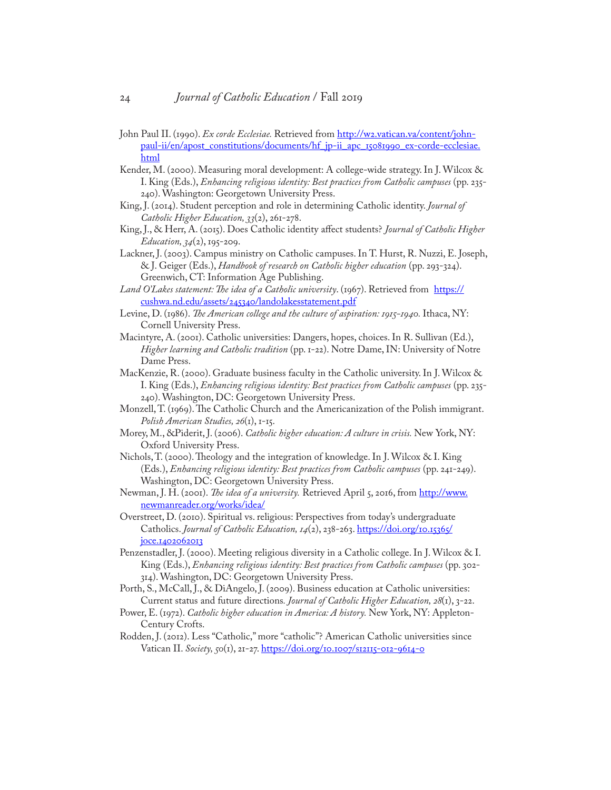- John Paul II. (1990). *Ex corde Ecclesiae.* Retrieved from [http://w2.vatican.va/content/john](http://w2.vatican.va/content/john-paul-ii/en/apost_constitutions/documents/hf_jp-ii_apc_15081990_ex-corde-ecclesiae.html)[paul-ii/en/apost\\_constitutions/documents/hf\\_jp-ii\\_apc\\_15081990\\_ex-corde-ecclesiae.](http://w2.vatican.va/content/john-paul-ii/en/apost_constitutions/documents/hf_jp-ii_apc_15081990_ex-corde-ecclesiae.html) [html](http://w2.vatican.va/content/john-paul-ii/en/apost_constitutions/documents/hf_jp-ii_apc_15081990_ex-corde-ecclesiae.html)
- Kender, M. (2000). Measuring moral development: A college-wide strategy. In J. Wilcox & I. King (Eds.), *Enhancing religious identity: Best practices from Catholic campuses* (pp. 235- 240). Washington: Georgetown University Press.
- King, J. (2014). Student perception and role in determining Catholic identity. *Journal of Catholic Higher Education, 33*(2), 261-278.
- King, J., & Herr, A. (2015). Does Catholic identity affect students? *Journal of Catholic Higher Education, 34*(2), 195-209.
- Lackner, J. (2003). Campus ministry on Catholic campuses. In T. Hurst, R. Nuzzi, E. Joseph, & J. Geiger (Eds.), *Handbook of research on Catholic higher education* (pp. 293-324). Greenwich, CT: Information Age Publishing.
- Land O'Lakes statement: The idea of a Catholic university. (1967). Retrieved from [https://](https://cushwa.nd.edu/assets/245340/landolakesstatement.pdf) [cushwa.nd.edu/assets/245340/landolakesstatement.pdf](https://cushwa.nd.edu/assets/245340/landolakesstatement.pdf)
- Levine, D. (1986). *The American college and the culture of aspiration: 1915-1940*. Ithaca, NY: Cornell University Press.
- Macintyre, A. (2001). Catholic universities: Dangers, hopes, choices. In R. Sullivan (Ed.), *Higher learning and Catholic tradition* (pp. 1-22). Notre Dame, IN: University of Notre Dame Press.
- MacKenzie, R. (2000). Graduate business faculty in the Catholic university. In J. Wilcox & I. King (Eds.), *Enhancing religious identity: Best practices from Catholic campuses* (pp. 235- 240). Washington, DC: Georgetown University Press.
- Monzell, T. (1969). The Catholic Church and the Americanization of the Polish immigrant. *Polish American Studies, 26*(1), 1-15.
- Morey, M., &Piderit, J. (2006). *Catholic higher education: A culture in crisis.* New York, NY: Oxford University Press.
- Nichols, T. (2000). Theology and the integration of knowledge. In J. Wilcox & I. King (Eds.), *Enhancing religious identity: Best practices from Catholic campuses* (pp. 241-249). Washington, DC: Georgetown University Press.
- Newman, J. H. (2001). *The idea of a university*. Retrieved April 5, 2016, from [http://www.](http://www.newmanreader.org/works/idea/) [newmanreader.org/works/idea/](http://www.newmanreader.org/works/idea/)
- Overstreet, D. (2010). Spiritual vs. religious: Perspectives from today's undergraduate Catholics. *Journal of Catholic Education, 14*(2), 238-263. [https://doi.org/10.15365/](https://doi.org/10.15365/joce.1402062013 ) [joce.1402062013](https://doi.org/10.15365/joce.1402062013 )
- Penzenstadler, J. (2000). Meeting religious diversity in a Catholic college. In J. Wilcox & I. King (Eds.), *Enhancing religious identity: Best practices from Catholic campuses* (pp. 302- 314). Washington, DC: Georgetown University Press.
- Porth, S., McCall, J., & DiAngelo, J. (2009). Business education at Catholic universities: Current status and future directions*. Journal of Catholic Higher Education, 28*(1), 3-22.
- Power, E. (1972). *Catholic higher education in America: A history.* New York, NY: Appleton-Century Crofts.
- Rodden, J. (2012). Less "Catholic," more "catholic"? American Catholic universities since Vatican II. *Society, 50*(1), 21-27. <https://doi.org/10.1007/s12115-012-9614-0>